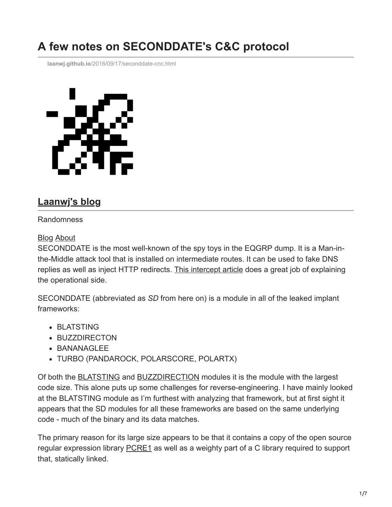# **A few notes on SECONDDATE's C&C protocol**

**laanwj.github.io**[/2016/09/17/seconddate-cnc.html](https://laanwj.github.io/2016/09/17/seconddate-cnc.html)



# **[Laanwj's blog](https://laanwj.github.io/)**

#### Randomness

#### [Blog](https://laanwj.github.io/) [About](https://laanwj.github.io/about)

SECONDDATE is the most well-known of the spy toys in the EQGRP dump. It is a Man-inthe-Middle attack tool that is installed on intermediate routes. It can be used to fake DNS replies as well as inject HTTP redirects. [This intercept article](https://theintercept.com/2016/08/19/the-nsa-was-hacked-snowden-documents-confirm/) does a great job of explaining the operational side.

SECONDDATE (abbreviated as *SD* from here on) is a module in all of the leaked implant frameworks:

- BLATSTING
- **BUZZDIRECTON**
- **BANANAGLEE**
- TURBO (PANDAROCK, POLARSCORE, POLARTX)

Of both the [BLATSTING](https://gist.github.com/laanwj/9e5e404266a8956beabde522f97c421b) and [BUZZDIRECTION](https://laanwj.github.io/2016/09/11/buzzdirection.html) modules it is the module with the largest code size. This alone puts up some challenges for reverse-engineering. I have mainly looked at the BLATSTING module as I'm furthest with analyzing that framework, but at first sight it appears that the SD modules for all these frameworks are based on the same underlying code - much of the binary and its data matches.

The primary reason for its large size appears to be that it contains a copy of the open source regular expression library [PCRE](http://www.pcre.org/)1 as well as a weighty part of a C library required to support that, statically linked.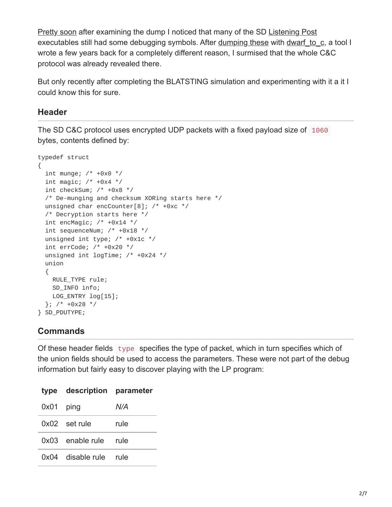[Pretty soon](https://twitter.com/orionwl/status/765849507116507136) after examining the dump I noticed that many of the SD [Listening Post](https://laanwj.github.io/2016/09/09/blatsting-lp-transcript.html) executables still had some debugging symbols. After [dumping these](https://gist.github.com/laanwj/96841340cecb5ada220af39551df2896) with dwarf to c, a tool I wrote a few years back for a completely different reason, I surmised that the whole C&C protocol was already revealed there.

But only recently after completing the BLATSTING simulation and experimenting with it a it I could know this for sure.

#### **Header**

The SD C&C protocol uses encrypted UDP packets with a fixed payload size of 1060 bytes, contents defined by:

```
typedef struct
{
 int munge; /* +0x0 *int magic; /* +0x4 *int checkSum; /* +0x8 */
 /* De-munging and checksum XORing starts here */
 unsigned char encCounter[8]; /* +0xc */
 /* Decryption starts here */
 int encMagic; /* +0x14 */
 int sequenceNum; /* +0x18 */
 unsigned int type; /* +0x1c */
 int errCode; /* +0x20 */
 unsigned int logTime; /* +0x24 */
 union
 {
   RULE_TYPE rule;
   SD_INFO info;
   LOG_ENTRY log[15];
 }; /* +0x28 * /} SD_PDUTYPE;
```
#### **Commands**

Of these header fields type specifies the type of packet, which in turn specifies which of the union fields should be used to access the parameters. These were not part of the debug information but fairly easy to discover playing with the LP program:

|             | type description parameter |      |  |
|-------------|----------------------------|------|--|
| $0x01$ ping |                            | N/A  |  |
|             | 0x02 set rule              | rule |  |
|             | 0x03 enable rule rule      |      |  |
|             | 0x04 disable rule rule     |      |  |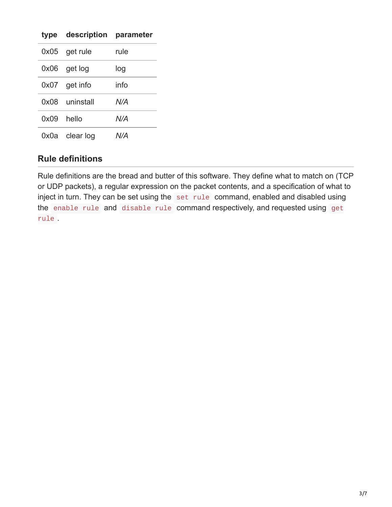|            | type description parameter |      |  |
|------------|----------------------------|------|--|
|            | 0x05 get rule              | rule |  |
|            | 0x06 get log               | log  |  |
|            | $0x07$ get info            | info |  |
|            | 0x08 uninstall             | N/A  |  |
| 0x09 hello |                            | N/A  |  |
|            | 0x0a clear log             | N/A  |  |

#### **Rule definitions**

Rule definitions are the bread and butter of this software. They define what to match on (TCP or UDP packets), a regular expression on the packet contents, and a specification of what to inject in turn. They can be set using the set rule command, enabled and disabled using the enable rule and disable rule command respectively, and requested using get rule .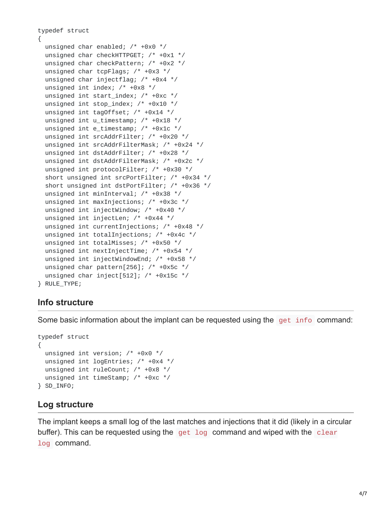```
typedef struct
{
 unsigned char enabled; /* +0x0 */
 unsigned char checkHTTPGET; /* +0x1 */
 unsigned char checkPattern; /* +0x2 */
 unsigned char tcpFlags; /* +0x3 */
 unsigned char injectflag; /* +0x4 */
 unsigned int index; /* +0x8 */
 unsigned int start_index; /* +0xc */
 unsigned int stop_index; /* +0x10 */
 unsigned int tagOffset; /* +0x14 */
 unsigned int u_timestamp; /* +0x18 */
 unsigned int e_timestamp; /* +0x1c */
 unsigned int srcAddrFilter; /* +0x20 */
 unsigned int srcAddrFilterMask; /* +0x24 */
 unsigned int dstAddrFilter; /* +0x28 */
 unsigned int dstAddrFilterMask; /* +0x2c */
 unsigned int protocolFilter; /* +0x30 */
  short unsigned int srcPortFilter; /* +0x34 */
 short unsigned int dstPortFilter; /* +0x36 */
 unsigned int minInterval; /* +0x38 */
 unsigned int maxInjections; /* +0x3c */
 unsigned int injectWindow; /* +0x40 */
 unsigned int injectLen; /* +0x44 */
 unsigned int currentInjections; /* +0x48 */
 unsigned int totalInjections; /* +0x4c */
 unsigned int totalMisses; /* +0x50 */
 unsigned int nextInjectTime; /* +0x54 */
 unsigned int injectWindowEnd; /* +0x58 */
 unsigned char pattern[256]; /* +0x5c */
 unsigned char inject[512]; /* +0x15c */
} RULE_TYPE;
```
#### **Info structure**

Some basic information about the implant can be requested using the get info command:

```
typedef struct
{
  unsigned int version; /* +0x0 */
  unsigned int logEntries; /* +0x4 */
  unsigned int ruleCount; /* +0x8 */
  unsigned int timeStamp; /* +0xc */
} SD_INFO;
```
#### **Log structure**

The implant keeps a small log of the last matches and injections that it did (likely in a circular buffer). This can be requested using the get log command and wiped with the clear log command.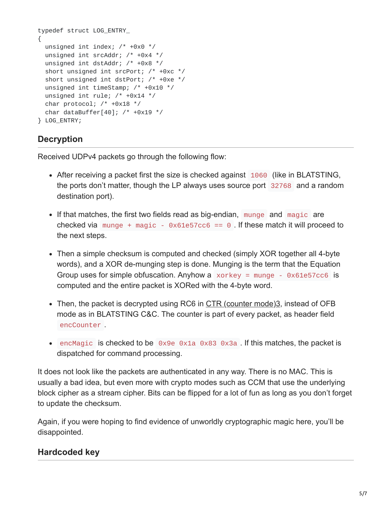```
typedef struct LOG_ENTRY_
{
  unsigned int index; \frac{1}{2} +0x0 \frac{*}{2}unsigned int srcAddr; /* +0x4 */
  unsigned int dstAddr; /* +0x8 */
  short unsigned int srcPort; /* +0xc */
  short unsigned int dstPort; /* +0xe */
  unsigned int timeStamp; /* +0x10 */
  unsigned int rule; /* +0x14 */
 char protocol; /* +0x18 */char dataBuffer[40]; /* +0x19 */
} LOG_ENTRY;
```
## **Decryption**

Received UDPv4 packets go through the following flow:

- After receiving a packet first the size is checked against 1060 (like in BLATSTING, the ports don't matter, though the LP always uses source port 32768 and a random destination port).
- If that matches, the first two fields read as big-endian, munge and magic are checked via munge + magic -  $0 \times 61e57cc6 == 0$ . If these match it will proceed to the next steps.
- Then a simple checksum is computed and checked (simply XOR together all 4-byte words), and a XOR de-munging step is done. Munging is the term that the Equation Group uses for simple obfuscation. Anyhow a  $x^2$  xorkey = munge - 0x61e57cc6 is computed and the entire packet is XORed with the 4-byte word.
- Then, the packet is decrypted using RC6 in [CTR \(counter mode\)](https://en.wikipedia.org/wiki/CTR_mode)3, instead of OFB mode as in BLATSTING C&C. The counter is part of every packet, as header field encCounter .
- encMagic is checked to be  $0 \times 9e$   $0 \times 1a$   $0 \times 83$   $0 \times 3a$ . If this matches, the packet is dispatched for command processing.

It does not look like the packets are authenticated in any way. There is no MAC. This is usually a bad idea, but even more with crypto modes such as CCM that use the underlying block cipher as a stream cipher. Bits can be flipped for a lot of fun as long as you don't forget to update the checksum.

Again, if you were hoping to find evidence of unworldly cryptographic magic here, you'll be disappointed.

## **Hardcoded key**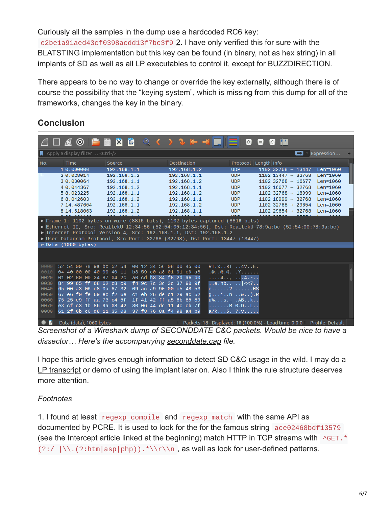Curiously all the samples in the dump use a hardcoded RC6 key:

e2be1a91aed43cf0398acdd13f7bc3f9 2. I have only verified this for sure with the BLATSTING implementation but this key can be found (in binary, not as hex string) in all implants of SD as well as all LP executables to control it, except for BUZZDIRECTION.

There appears to be no way to change or override the key externally, although there is of course the possibility that the "keying system", which is missing from this dump for all of the frameworks, changes the key in the binary.

## **Conclusion**

|                                                                                                                                                                                                                                                                                                                                                                          |                                                                                                                                                                                                                                                                                                                                                                                                                      |                                                                                                                                     | $\mathbf{G}$                                                                                                                                                                                                       | m<br>$\Box$<br>$\blacksquare$                                                                                                                                                                                                                                                              |                                                                                                  |  |  |
|--------------------------------------------------------------------------------------------------------------------------------------------------------------------------------------------------------------------------------------------------------------------------------------------------------------------------------------------------------------------------|----------------------------------------------------------------------------------------------------------------------------------------------------------------------------------------------------------------------------------------------------------------------------------------------------------------------------------------------------------------------------------------------------------------------|-------------------------------------------------------------------------------------------------------------------------------------|--------------------------------------------------------------------------------------------------------------------------------------------------------------------------------------------------------------------|--------------------------------------------------------------------------------------------------------------------------------------------------------------------------------------------------------------------------------------------------------------------------------------------|--------------------------------------------------------------------------------------------------|--|--|
| $\blacksquare$ Apply a display filter  < Ctrl-/>                                                                                                                                                                                                                                                                                                                         |                                                                                                                                                                                                                                                                                                                                                                                                                      |                                                                                                                                     |                                                                                                                                                                                                                    |                                                                                                                                                                                                                                                                                            | $\blacksquare$ Expression $\blacksquare$                                                         |  |  |
| No.<br>Time<br>10.000000<br>20.028014<br>3 0.030064<br>4 0.044367<br>5 8,023225<br>6 8,042603<br>7 14,487604<br>8 14,518063                                                                                                                                                                                                                                              | Source<br>192.168.1.1<br>192.168.1.2<br>192.168.1.1<br>192.168.1.2<br>192.168.1.1<br>192.168.1.2<br>192.168.1.1<br>192.168.1.2                                                                                                                                                                                                                                                                                       | Destination<br>192.168.1.2<br>192.168.1.1<br>192.168.1.2<br>192.168.1.1<br>192.168.1.2<br>192.168.1.1<br>192.168.1.2<br>192.168.1.1 | Protocol Length Info<br><b>UDP</b><br><b>UDP</b><br><b>UDP</b><br><b>UDP</b><br><b>UDP</b><br><b>UDP</b><br><b>UDP</b><br><b>UDP</b>                                                                               | $1102$ 32768 $\rightarrow$ 13447<br>$1102$ 13447 $\rightarrow$ 32768<br>$1102$ 32768 $\rightarrow$ 16677<br>$1102$ 16677 $\rightarrow$ 32768<br>$1102$ 32768 $\rightarrow$ 18999<br>$1102$ 18999 $\rightarrow$ 32768<br>$1102$ 32768 $\rightarrow$ 29654<br>1102 29654 $\rightarrow$ 32768 | Len=1060<br>Len=1060<br>Len=1060<br>Len=1060<br>$Len=1060$<br>$Len=1060$<br>Len=1060<br>Len=1060 |  |  |
| Frame 1: 1102 bytes on wire (8816 bits), 1102 bytes captured (8816 bits)<br>Ethernet II, Src: RealtekU_12:34:56 (52:54:00:12:34:56), Dst: RealtekU_78:9a:bc (52:54:00:78:9a:bc)<br>▶ Internet Protocol Version 4, Src: 192.168.1.1, Dst: 192.168.1.2<br>▶ User Datagram Protocol, Src Port: 32768 (32768), Dst Port: 13447 (13447)<br>$\triangleright$ Data (1060 bytes) |                                                                                                                                                                                                                                                                                                                                                                                                                      |                                                                                                                                     |                                                                                                                                                                                                                    |                                                                                                                                                                                                                                                                                            |                                                                                                  |  |  |
| 0000<br>52 54 00 78 9a bc 52 54<br>0010<br>0020<br>0030<br>0040<br>0050<br>0060<br>0070<br>0080                                                                                                                                                                                                                                                                          | 04 40 00 00 40 00 40 11 b3 59 c0 a8 01 01 c0 a8<br>01 02 80 00 34 87 04 2c a0 cd b3 34 f8 2d ae b0<br>84 99 65 ff 68 62 c8 c9 f4 9c 7c 3c 3c 37 90 9f<br>65 00 a3 06 c8 0a 87 32 09 ac a9 90 00 c5 48 53<br>67 e6 f0 fe 69 ec f2 6e c1 eb 26 de c1 29 ac 52<br>75 25 e9 ff aa 73 c4 5f 1f 41 42 ff a5 6b 85 89<br>e3 cf c3 1b 86 9a 08 42 30 06 44 dc 11 4c cb 7f<br>61 2f 6b c6 d8 11 35 08 37 f8 76 8a f4 98 a4 b9 | 00 12 34 56 08 00 45 00                                                                                                             | $RT.x$ RT $.4V$ E.<br>$\dots$ .4, 4<br>$\ldots$ e.hb. $\ldots$   << 7<br>$e. \ldots .2 \ldots .1$<br>$g \ldots i \ldots n \ldots k \ldots$ ).R<br>u%s._ .ABk<br>$\ldots \ldots$ . B $\Theta$ . D. . L<br>a/k5. 7.v |                                                                                                                                                                                                                                                                                            |                                                                                                  |  |  |
| E.<br>Data (data), 1060 bytes<br>Caroonahatafa Ulireabarkakuma of CECONDDATE COO naakata Waydaha niga ta haya a                                                                                                                                                                                                                                                          |                                                                                                                                                                                                                                                                                                                                                                                                                      |                                                                                                                                     |                                                                                                                                                                                                                    | Packets: 18 · Displayed: 18 (100.0%) · Load time: 0:0.0 Profile: Default                                                                                                                                                                                                                   |                                                                                                  |  |  |

*Screenshot of a Wireshark dump of SECONDDATE C&C packets. Would be nice to have a dissector… Here's the accompanying [seconddate.cap](https://laanwj.github.io/assets/2016/09/17/seconddate-cnc/seconddate.cap) file.*

I hope this article gives enough information to detect SD C&C usage in the wild. I may do a [LP transcript](https://laanwj.github.io/2016/09/09/blatsting-lp-transcript.html) or demo of using the implant later on. Also I think the rule structure deserves more attention.

## *Footnotes*

1. I found at least regexp\_compile and regexp\_match with the same API as documented by PCRE. It is used to look for the for the famous string ace02468bdf13579 (see the Intercept article linked at the beginning) match HTTP in TCP streams with  $\sqrt{GET.*}$ (?:/ |\\.(?:htm|asp|php)).\*\\r\\n , as well as look for user-defined patterns.